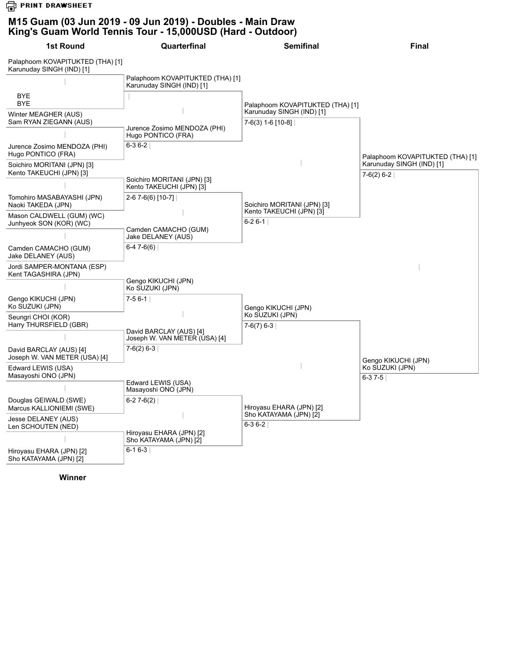**G** PRINT DRAWSHEET

## **M15 Guam (03 Jun 2019 - 09 Jun 2019) - Doubles - Main Draw King's Guam World Tennis Tour - 15,000USD (Hard - Outdoor)**

| 1st Round                                                     | Quarterfinal                                                  | <b>Semifinal</b>                                              | <b>Final</b>                                                                  |
|---------------------------------------------------------------|---------------------------------------------------------------|---------------------------------------------------------------|-------------------------------------------------------------------------------|
| Palaphoom KOVAPITUKTED (THA) [1]<br>Karunuday SINGH (IND) [1] |                                                               |                                                               |                                                                               |
|                                                               | Palaphoom KOVAPITUKTED (THA) [1]<br>Karunuday SINGH (IND) [1] |                                                               |                                                                               |
| <b>BYE</b><br><b>BYE</b>                                      |                                                               | Palaphoom KOVAPITUKTED (THA) [1]<br>Karunuday SINGH (IND) [1] |                                                                               |
| Winter MEAGHER (AUS)<br>Sam RYAN ZIEGANN (AUS)                | Jurence Zosimo MENDOZA (PHI)                                  | $7-6(3)$ 1-6 [10-8]                                           |                                                                               |
| Jurence Zosimo MENDOZA (PHI)<br>Hugo PONTICO (FRA)            | Hugo PONTICO (FRA)<br>$6-36-2$                                |                                                               |                                                                               |
| Soichiro MORITANI (JPN) [3]<br>Kento TAKEUCHI (JPN) [3]       | Soichiro MORITANI (JPN) [3]<br>Kento TAKEUCHI (JPN) [3]       |                                                               | Palaphoom KOVAPITUKTED (THA) [1]<br>Karunuday SINGH (IND) [1]<br>$7-6(2)$ 6-2 |
|                                                               |                                                               |                                                               |                                                                               |
| Tomohiro MASABAYASHI (JPN)<br>Naoki TAKEDA (JPN)              | 2-6 7-6(6) [10-7]                                             | Soichiro MORITANI (JPN) [3]<br>Kento TAKEUCHI (JPN) [3]       |                                                                               |
| Mason CALDWELL (GUM) (WC)<br>Junhyeok SON (KOR) (WC)          | Camden CAMACHO (GUM)                                          | $6 - 26 - 1$                                                  |                                                                               |
| Camden CAMACHO (GUM)<br>Jake DELANEY (AUS)                    | Jake DELANEY (AUS)<br>$6-47-6(6)$                             |                                                               |                                                                               |
| Jordi SAMPER-MONTANA (ESP)<br>Kent TAGASHIRA (JPN)            |                                                               |                                                               |                                                                               |
|                                                               | Gengo KIKUCHI (JPN)<br>Ko SUZUKI (JPN)                        |                                                               |                                                                               |
| Gengo KIKUCHI (JPN)<br>Ko SUZUKI (JPN)                        | $7-56-1$                                                      | Gengo KIKUCHI (JPN)                                           |                                                                               |
| Seungri CHOI (KOR)<br>Harry THURSFIELD (GBR)                  | David BARCLAY (AUS) [4]<br>Joseph W. VAN METER (USA) [4]      | Ko SUZUKI (JPN)<br>$7-6(7)$ 6-3                               |                                                                               |
|                                                               |                                                               |                                                               |                                                                               |
| David BARCLAY (AUS) [4]<br>Joseph W. VAN METER (USA) [4]      | $7-6(2)$ 6-3                                                  |                                                               | Gengo KIKUCHI (JPN)                                                           |
| Edward LEWIS (USA)<br>Masayoshi ONO (JPN)                     |                                                               |                                                               | Ko SUZUKI (JPN)<br>$6 - 37 - 5$                                               |
|                                                               | Edward LEWIS (USA)<br>Masayoshi ONO (JPN)                     |                                                               |                                                                               |
| Douglas GEIWALD (SWE)<br>Marcus KALLIONIEMI (SWE)             | $6-27-6(2)$                                                   | Hiroyasu EHARA (JPN) [2]<br>Sho KATAYAMA (JPN) [2]            |                                                                               |
| Jesse DELANEY (AUS)<br>Len SCHOUTEN (NED)                     |                                                               | $6 - 36 - 2$                                                  |                                                                               |
|                                                               | Hiroyasu EHARA (JPN) [2]<br>Sho KATAYAMA (JPN) [2]            |                                                               |                                                                               |
| Hiroyasu EHARA (JPN) [2]<br>Sho KATAYAMA (JPN) [2]            | $6 - 16 - 3$                                                  |                                                               |                                                                               |

**Winner**